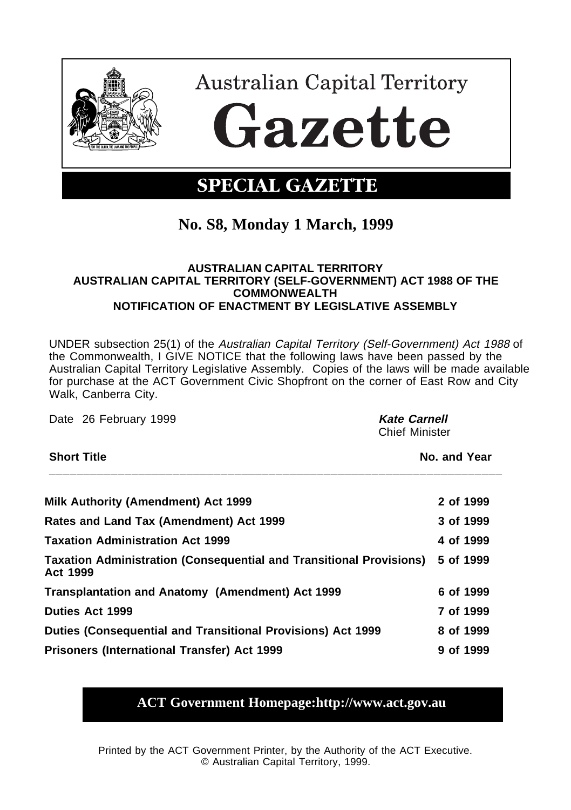

# **No. S8, Monday 1 March, 1999**

#### **AUSTRALIAN CAPITAL TERRITORY AUSTRALIAN CAPITAL TERRITORY (SELF-GOVERNMENT) ACT 1988 OF THE COMMONWEALTH NOTIFICATION OF ENACTMENT BY LEGISLATIVE ASSEMBLY**

UNDER subsection 25(1) of the Australian Capital Territory (Self-Government) Act 1988 of the Commonwealth, I GIVE NOTICE that the following laws have been passed by the Australian Capital Territory Legislative Assembly. Copies of the laws will be made available for purchase at the ACT Government Civic Shopfront on the corner of East Row and City Walk, Canberra City.

Date 26 February 1999 **Kate Carnell Kate Carnell** Chief Minister **Short Title No. and Year \_\_\_\_\_\_\_\_\_\_\_\_\_\_\_\_\_\_\_\_\_\_\_\_\_\_\_\_\_\_\_\_\_\_\_\_\_\_\_\_\_\_\_\_\_\_\_\_\_\_\_\_\_\_\_\_\_\_\_\_\_\_\_\_\_\_ Milk Authority (Amendment) Act 1999 2 of 1999 Rates and Land Tax (Amendment) Act 1999 3 of 1999 Taxation Administration Act 1999 4 of 1999 Taxation Administration (Consequential and Transitional Provisions) 5 of 1999 Act 1999 Transplantation and Anatomy (Amendment) Act 1999 6 of 1999 Duties Act 1999 7 of 1999 Duties (Consequential and Transitional Provisions) Act 1999 8 of 1999 Prisoners (International Transfer) Act 1999 9 of 1999**

# **ACT Government Homepage:http://www.act.gov.au**

Printed by the ACT Government Printer, by the Authority of the ACT Executive. © Australian Capital Territory, 1999.